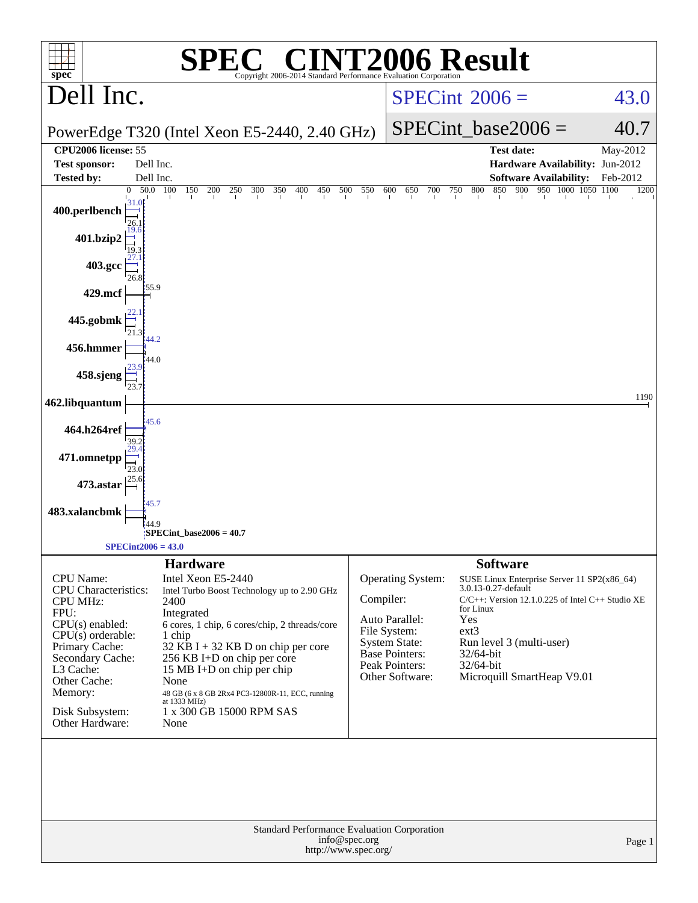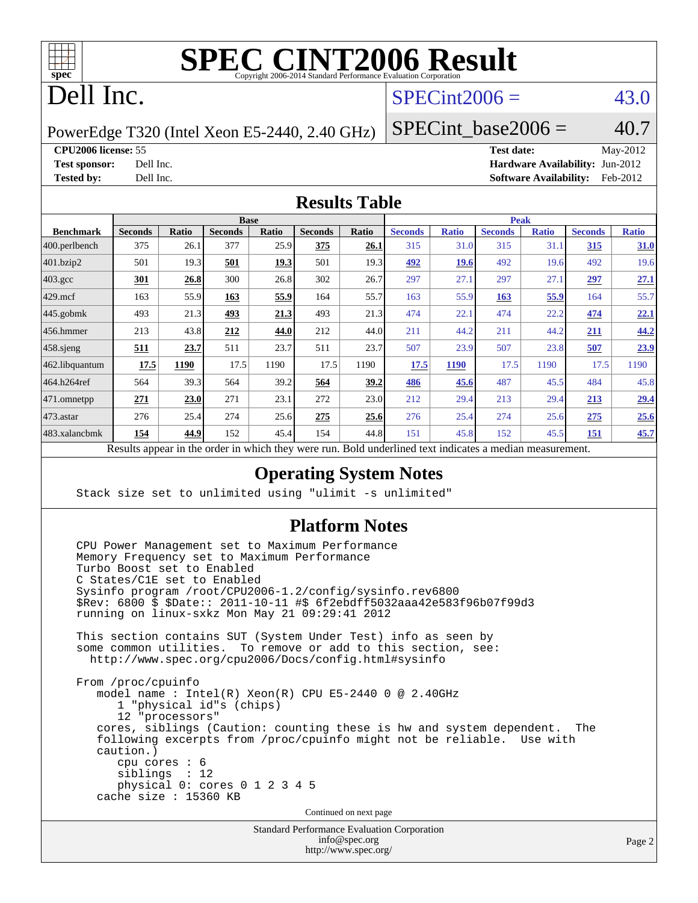

# Dell Inc.

# $SPECint2006 = 43.0$  $SPECint2006 = 43.0$

PowerEdge T320 (Intel Xeon E5-2440, 2.40 GHz)

SPECint base2006 =  $40.7$ 

#### **[CPU2006 license:](http://www.spec.org/auto/cpu2006/Docs/result-fields.html#CPU2006license)** 55 **[Test date:](http://www.spec.org/auto/cpu2006/Docs/result-fields.html#Testdate)** May-2012

**[Test sponsor:](http://www.spec.org/auto/cpu2006/Docs/result-fields.html#Testsponsor)** Dell Inc. **[Hardware Availability:](http://www.spec.org/auto/cpu2006/Docs/result-fields.html#HardwareAvailability)** Jun-2012 **[Tested by:](http://www.spec.org/auto/cpu2006/Docs/result-fields.html#Testedby)** Dell Inc. **[Software Availability:](http://www.spec.org/auto/cpu2006/Docs/result-fields.html#SoftwareAvailability)** Feb-2012

#### **[Results Table](http://www.spec.org/auto/cpu2006/Docs/result-fields.html#ResultsTable)**

| <b>Seconds</b> | Ratio | <b>Seconds</b> | Ratio | <b>Seconds</b>                         | Ratio       | <b>Seconds</b> | <b>Ratio</b> | <b>Seconds</b>                            | <b>Ratio</b> | <b>Seconds</b> | <b>Ratio</b> |
|----------------|-------|----------------|-------|----------------------------------------|-------------|----------------|--------------|-------------------------------------------|--------------|----------------|--------------|
| 375            | 26.1  | 377            | 25.9  | 375                                    | <u>26.1</u> | 315            | 31.0         | 315                                       | 31.1         | 315            | 31.0         |
| 501            | 19.3  | 501            | 19.3  | 501                                    | 19.3        | 492            | <b>19.6</b>  | 492                                       | 19.6         | 492            | 19.6         |
| 301            | 26.8  | 300            |       | 302                                    | 26.7        | 297            | 27.1         | 297                                       | 27.1         | 297            | 27.1         |
| 163            | 55.9  | 163            | 55.9  | 164                                    | 55.7        | 163            | 55.9         | 163                                       | 55.9         | 164            | 55.7         |
| 493            | 21.3  | 493            | 21.3  | 493                                    | 21.3        | 474            | 22.1         | 474                                       | 22.2         | 474            | 22.1         |
| 213            | 43.8  | 212            | 44.0  | 212                                    | 44.0        | 211            | 44.2         | 211                                       | 44.2         | 211            | 44.2         |
| 511            | 23.7  | 511            | 23.7  | 511                                    | 23.7        | 507            | 23.9         | 507                                       | 23.8         | 507            | 23.9         |
| 17.5           | 1190  | 17.5           | 1190  | 17.5                                   | 1190        | 17.5           | 1190         | 17.5                                      | 1190         | 17.5           | 1190         |
| 564            | 39.3  | 564            | 39.2  | 564                                    | 39.2        | 486            | 45.6         | 487                                       | 45.5         | 484            | 45.8         |
| 271            | 23.0  | 271            | 23.1  | 272                                    | 23.0        | 212            | 29.4         | 213                                       | 29.4         | 213            | 29.4         |
| 276            | 25.4  | 274            |       | 275                                    | 25.6        | 276            | 25.4         | 274                                       | 25.6         | 275            | 25.6         |
| 154            | 44.9  | 152            |       | 154                                    | 44.8        | 151            | 45.8         | 152                                       | 45.5         | 151            | 45.7         |
|                |       | .              |       | <b>Base</b><br>26.8<br>25.6<br>1.7.1.1 | 45.4        |                | $1 \quad 1$  | $\mathbf{1}$<br>$\mathbf{1}$ $\mathbf{1}$ |              | <b>Peak</b>    |              |

Results appear in the [order in which they were run.](http://www.spec.org/auto/cpu2006/Docs/result-fields.html#RunOrder) Bold underlined text [indicates a median measurement.](http://www.spec.org/auto/cpu2006/Docs/result-fields.html#Median)

### **[Operating System Notes](http://www.spec.org/auto/cpu2006/Docs/result-fields.html#OperatingSystemNotes)**

Stack size set to unlimited using "ulimit -s unlimited"

### **[Platform Notes](http://www.spec.org/auto/cpu2006/Docs/result-fields.html#PlatformNotes)**

 CPU Power Management set to Maximum Performance Memory Frequency set to Maximum Performance Turbo Boost set to Enabled C States/C1E set to Enabled Sysinfo program /root/CPU2006-1.2/config/sysinfo.rev6800 \$Rev: 6800 \$ \$Date:: 2011-10-11 #\$ 6f2ebdff5032aaa42e583f96b07f99d3 running on linux-sxkz Mon May 21 09:29:41 2012 This section contains SUT (System Under Test) info as seen by some common utilities. To remove or add to this section, see: <http://www.spec.org/cpu2006/Docs/config.html#sysinfo> From /proc/cpuinfo model name : Intel(R) Xeon(R) CPU E5-2440 0 @ 2.40GHz 1 "physical id"s (chips) 12 "processors" cores, siblings (Caution: counting these is hw and system dependent. The following excerpts from /proc/cpuinfo might not be reliable. Use with caution.) cpu cores : 6 siblings : 12 physical 0: cores 0 1 2 3 4 5 cache size : 15360 KB Continued on next page

> Standard Performance Evaluation Corporation [info@spec.org](mailto:info@spec.org) <http://www.spec.org/>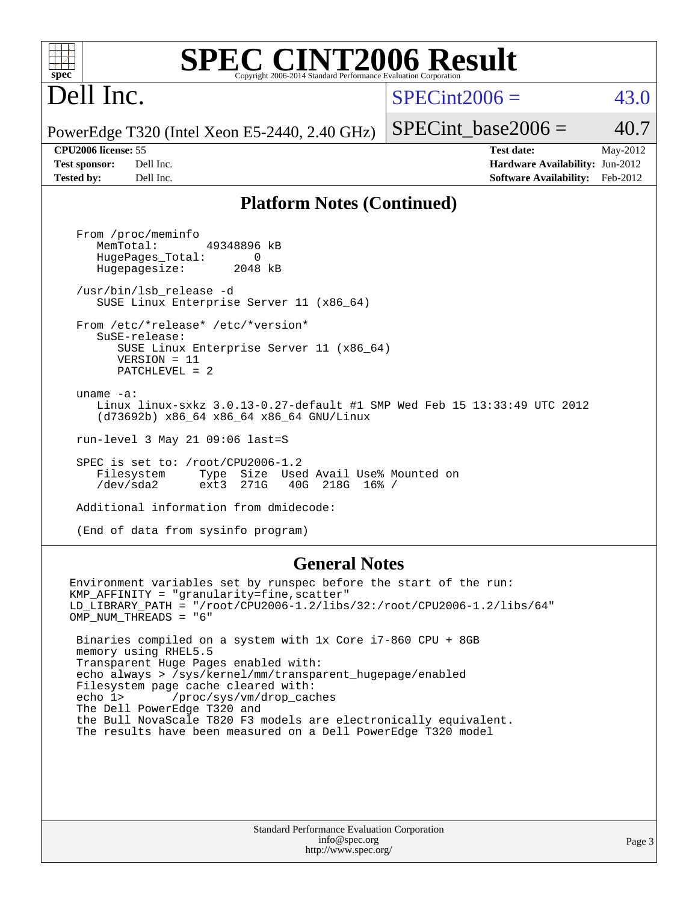### **spec [SPEC CINT2006 Result](http://www.spec.org/auto/cpu2006/Docs/result-fields.html#SPECCINT2006Result)** Copyright 2006-2014 Standard Performance Evaluation C

# Dell Inc.

 $SPECint2006 = 43.0$  $SPECint2006 = 43.0$ 

SPECint base2006 =  $40.7$ 

PowerEdge T320 (Intel Xeon E5-2440, 2.40 GHz)

**[CPU2006 license:](http://www.spec.org/auto/cpu2006/Docs/result-fields.html#CPU2006license)** 55 **[Test date:](http://www.spec.org/auto/cpu2006/Docs/result-fields.html#Testdate)** May-2012 **[Test sponsor:](http://www.spec.org/auto/cpu2006/Docs/result-fields.html#Testsponsor)** Dell Inc. **[Hardware Availability:](http://www.spec.org/auto/cpu2006/Docs/result-fields.html#HardwareAvailability)** Jun-2012 **[Tested by:](http://www.spec.org/auto/cpu2006/Docs/result-fields.html#Testedby)** Dell Inc. **[Software Availability:](http://www.spec.org/auto/cpu2006/Docs/result-fields.html#SoftwareAvailability)** Feb-2012

### **[Platform Notes \(Continued\)](http://www.spec.org/auto/cpu2006/Docs/result-fields.html#PlatformNotes)**

 From /proc/meminfo MemTotal: 49348896 kB HugePages\_Total: 0<br>Hugepagesize: 2048 kB Hugepagesize: /usr/bin/lsb\_release -d SUSE Linux Enterprise Server 11 (x86\_64) From /etc/\*release\* /etc/\*version\* SuSE-release: SUSE Linux Enterprise Server 11 (x86\_64) VERSION = 11 PATCHLEVEL = 2 uname -a: Linux linux-sxkz 3.0.13-0.27-default #1 SMP Wed Feb 15 13:33:49 UTC 2012 (d73692b) x86\_64 x86\_64 x86\_64 GNU/Linux run-level 3 May 21 09:06 last=S SPEC is set to: /root/CPU2006-1.2<br>Filesystem Type Size Use Type Size Used Avail Use% Mounted on<br>ext3 271G 40G 218G 16% / /dev/sda2 ext3 271G 40G 218G 16% / Additional information from dmidecode:

(End of data from sysinfo program)

### **[General Notes](http://www.spec.org/auto/cpu2006/Docs/result-fields.html#GeneralNotes)**

Environment variables set by runspec before the start of the run: KMP\_AFFINITY = "granularity=fine,scatter" LD\_LIBRARY\_PATH = "/root/CPU2006-1.2/libs/32:/root/CPU2006-1.2/libs/64" OMP\_NUM\_THREADS = "6" Binaries compiled on a system with 1x Core i7-860 CPU + 8GB memory using RHEL5.5 Transparent Huge Pages enabled with: echo always > /sys/kernel/mm/transparent\_hugepage/enabled Filesystem page cache cleared with: echo 1> /proc/sys/vm/drop\_caches The Dell PowerEdge T320 and the Bull NovaScale T820 F3 models are electronically equivalent. The results have been measured on a Dell PowerEdge T320 model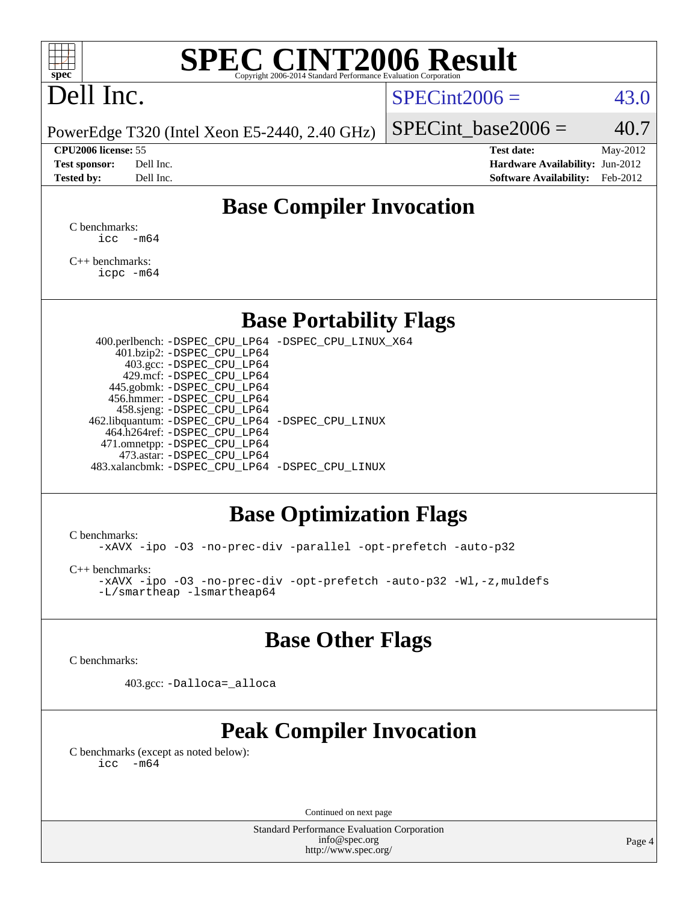

# Dell Inc.

## $SPECint2006 = 43.0$  $SPECint2006 = 43.0$

PowerEdge T320 (Intel Xeon E5-2440, 2.40 GHz)

| <b>Test sponsor:</b> | Dell Inc. |
|----------------------|-----------|
| <b>Tested by:</b>    | Dell Inc. |

SPECint base2006 =  $40.7$ 

**[CPU2006 license:](http://www.spec.org/auto/cpu2006/Docs/result-fields.html#CPU2006license)** 55 **[Test date:](http://www.spec.org/auto/cpu2006/Docs/result-fields.html#Testdate)** May-2012 **[Hardware Availability:](http://www.spec.org/auto/cpu2006/Docs/result-fields.html#HardwareAvailability)** Jun-2012 **[Software Availability:](http://www.spec.org/auto/cpu2006/Docs/result-fields.html#SoftwareAvailability)** Feb-2012

# **[Base Compiler Invocation](http://www.spec.org/auto/cpu2006/Docs/result-fields.html#BaseCompilerInvocation)**

[C benchmarks](http://www.spec.org/auto/cpu2006/Docs/result-fields.html#Cbenchmarks):  $\text{icc}$   $-\text{m64}$ 

[C++ benchmarks:](http://www.spec.org/auto/cpu2006/Docs/result-fields.html#CXXbenchmarks) [icpc -m64](http://www.spec.org/cpu2006/results/res2012q3/cpu2006-20120703-23498.flags.html#user_CXXbase_intel_icpc_64bit_fc66a5337ce925472a5c54ad6a0de310)

## **[Base Portability Flags](http://www.spec.org/auto/cpu2006/Docs/result-fields.html#BasePortabilityFlags)**

 400.perlbench: [-DSPEC\\_CPU\\_LP64](http://www.spec.org/cpu2006/results/res2012q3/cpu2006-20120703-23498.flags.html#b400.perlbench_basePORTABILITY_DSPEC_CPU_LP64) [-DSPEC\\_CPU\\_LINUX\\_X64](http://www.spec.org/cpu2006/results/res2012q3/cpu2006-20120703-23498.flags.html#b400.perlbench_baseCPORTABILITY_DSPEC_CPU_LINUX_X64) 401.bzip2: [-DSPEC\\_CPU\\_LP64](http://www.spec.org/cpu2006/results/res2012q3/cpu2006-20120703-23498.flags.html#suite_basePORTABILITY401_bzip2_DSPEC_CPU_LP64) 403.gcc: [-DSPEC\\_CPU\\_LP64](http://www.spec.org/cpu2006/results/res2012q3/cpu2006-20120703-23498.flags.html#suite_basePORTABILITY403_gcc_DSPEC_CPU_LP64) 429.mcf: [-DSPEC\\_CPU\\_LP64](http://www.spec.org/cpu2006/results/res2012q3/cpu2006-20120703-23498.flags.html#suite_basePORTABILITY429_mcf_DSPEC_CPU_LP64) 445.gobmk: [-DSPEC\\_CPU\\_LP64](http://www.spec.org/cpu2006/results/res2012q3/cpu2006-20120703-23498.flags.html#suite_basePORTABILITY445_gobmk_DSPEC_CPU_LP64) 456.hmmer: [-DSPEC\\_CPU\\_LP64](http://www.spec.org/cpu2006/results/res2012q3/cpu2006-20120703-23498.flags.html#suite_basePORTABILITY456_hmmer_DSPEC_CPU_LP64) 458.sjeng: [-DSPEC\\_CPU\\_LP64](http://www.spec.org/cpu2006/results/res2012q3/cpu2006-20120703-23498.flags.html#suite_basePORTABILITY458_sjeng_DSPEC_CPU_LP64) 462.libquantum: [-DSPEC\\_CPU\\_LP64](http://www.spec.org/cpu2006/results/res2012q3/cpu2006-20120703-23498.flags.html#suite_basePORTABILITY462_libquantum_DSPEC_CPU_LP64) [-DSPEC\\_CPU\\_LINUX](http://www.spec.org/cpu2006/results/res2012q3/cpu2006-20120703-23498.flags.html#b462.libquantum_baseCPORTABILITY_DSPEC_CPU_LINUX) 464.h264ref: [-DSPEC\\_CPU\\_LP64](http://www.spec.org/cpu2006/results/res2012q3/cpu2006-20120703-23498.flags.html#suite_basePORTABILITY464_h264ref_DSPEC_CPU_LP64) 471.omnetpp: [-DSPEC\\_CPU\\_LP64](http://www.spec.org/cpu2006/results/res2012q3/cpu2006-20120703-23498.flags.html#suite_basePORTABILITY471_omnetpp_DSPEC_CPU_LP64) 473.astar: [-DSPEC\\_CPU\\_LP64](http://www.spec.org/cpu2006/results/res2012q3/cpu2006-20120703-23498.flags.html#suite_basePORTABILITY473_astar_DSPEC_CPU_LP64) 483.xalancbmk: [-DSPEC\\_CPU\\_LP64](http://www.spec.org/cpu2006/results/res2012q3/cpu2006-20120703-23498.flags.html#suite_basePORTABILITY483_xalancbmk_DSPEC_CPU_LP64) [-DSPEC\\_CPU\\_LINUX](http://www.spec.org/cpu2006/results/res2012q3/cpu2006-20120703-23498.flags.html#b483.xalancbmk_baseCXXPORTABILITY_DSPEC_CPU_LINUX)

# **[Base Optimization Flags](http://www.spec.org/auto/cpu2006/Docs/result-fields.html#BaseOptimizationFlags)**

[C benchmarks](http://www.spec.org/auto/cpu2006/Docs/result-fields.html#Cbenchmarks):

[-xAVX](http://www.spec.org/cpu2006/results/res2012q3/cpu2006-20120703-23498.flags.html#user_CCbase_f-xAVX) [-ipo](http://www.spec.org/cpu2006/results/res2012q3/cpu2006-20120703-23498.flags.html#user_CCbase_f-ipo) [-O3](http://www.spec.org/cpu2006/results/res2012q3/cpu2006-20120703-23498.flags.html#user_CCbase_f-O3) [-no-prec-div](http://www.spec.org/cpu2006/results/res2012q3/cpu2006-20120703-23498.flags.html#user_CCbase_f-no-prec-div) [-parallel](http://www.spec.org/cpu2006/results/res2012q3/cpu2006-20120703-23498.flags.html#user_CCbase_f-parallel) [-opt-prefetch](http://www.spec.org/cpu2006/results/res2012q3/cpu2006-20120703-23498.flags.html#user_CCbase_f-opt-prefetch) [-auto-p32](http://www.spec.org/cpu2006/results/res2012q3/cpu2006-20120703-23498.flags.html#user_CCbase_f-auto-p32)

[C++ benchmarks:](http://www.spec.org/auto/cpu2006/Docs/result-fields.html#CXXbenchmarks)

[-xAVX](http://www.spec.org/cpu2006/results/res2012q3/cpu2006-20120703-23498.flags.html#user_CXXbase_f-xAVX) [-ipo](http://www.spec.org/cpu2006/results/res2012q3/cpu2006-20120703-23498.flags.html#user_CXXbase_f-ipo) [-O3](http://www.spec.org/cpu2006/results/res2012q3/cpu2006-20120703-23498.flags.html#user_CXXbase_f-O3) [-no-prec-div](http://www.spec.org/cpu2006/results/res2012q3/cpu2006-20120703-23498.flags.html#user_CXXbase_f-no-prec-div) [-opt-prefetch](http://www.spec.org/cpu2006/results/res2012q3/cpu2006-20120703-23498.flags.html#user_CXXbase_f-opt-prefetch) [-auto-p32](http://www.spec.org/cpu2006/results/res2012q3/cpu2006-20120703-23498.flags.html#user_CXXbase_f-auto-p32) [-Wl,-z,muldefs](http://www.spec.org/cpu2006/results/res2012q3/cpu2006-20120703-23498.flags.html#user_CXXbase_link_force_multiple1_74079c344b956b9658436fd1b6dd3a8a) [-L/smartheap -lsmartheap64](http://www.spec.org/cpu2006/results/res2012q3/cpu2006-20120703-23498.flags.html#user_CXXbase_SmartHeap64_5e654037dadeae1fe403ab4b4466e60b)

## **[Base Other Flags](http://www.spec.org/auto/cpu2006/Docs/result-fields.html#BaseOtherFlags)**

[C benchmarks](http://www.spec.org/auto/cpu2006/Docs/result-fields.html#Cbenchmarks):

403.gcc: [-Dalloca=\\_alloca](http://www.spec.org/cpu2006/results/res2012q3/cpu2006-20120703-23498.flags.html#b403.gcc_baseEXTRA_CFLAGS_Dalloca_be3056838c12de2578596ca5467af7f3)

# **[Peak Compiler Invocation](http://www.spec.org/auto/cpu2006/Docs/result-fields.html#PeakCompilerInvocation)**

[C benchmarks \(except as noted below\)](http://www.spec.org/auto/cpu2006/Docs/result-fields.html#Cbenchmarksexceptasnotedbelow):  $\text{icc}$  -m64

Continued on next page

Standard Performance Evaluation Corporation [info@spec.org](mailto:info@spec.org) <http://www.spec.org/>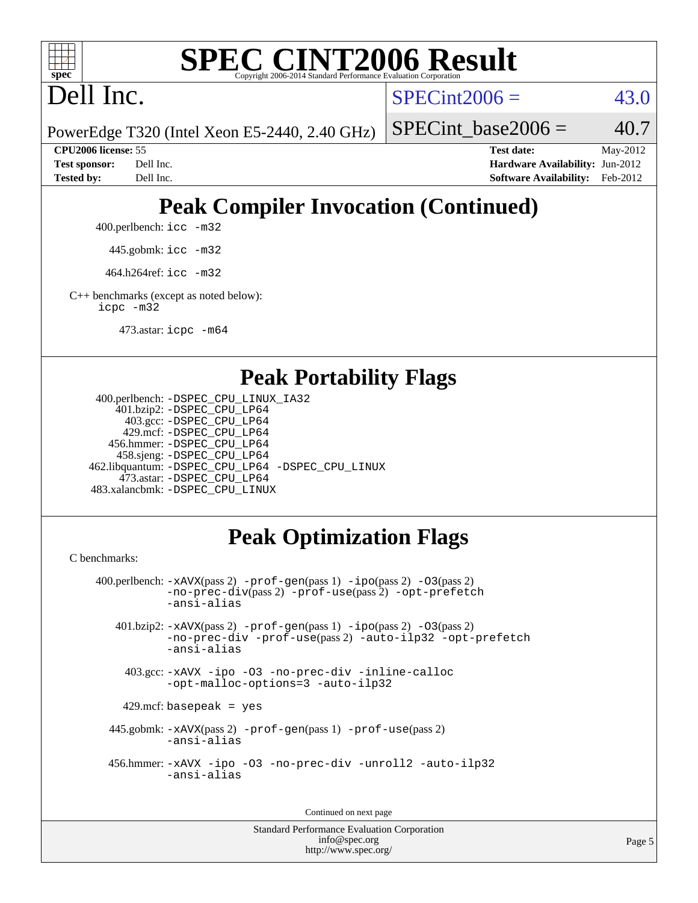

Dell Inc.

 $SPECint2006 = 43.0$  $SPECint2006 = 43.0$ 

PowerEdge T320 (Intel Xeon E5-2440, 2.40 GHz)

SPECint base2006 =  $40.7$ 

**[CPU2006 license:](http://www.spec.org/auto/cpu2006/Docs/result-fields.html#CPU2006license)** 55 **[Test date:](http://www.spec.org/auto/cpu2006/Docs/result-fields.html#Testdate)** May-2012 **[Test sponsor:](http://www.spec.org/auto/cpu2006/Docs/result-fields.html#Testsponsor)** Dell Inc. **[Hardware Availability:](http://www.spec.org/auto/cpu2006/Docs/result-fields.html#HardwareAvailability)** Jun-2012 **[Tested by:](http://www.spec.org/auto/cpu2006/Docs/result-fields.html#Testedby)** Dell Inc. **[Software Availability:](http://www.spec.org/auto/cpu2006/Docs/result-fields.html#SoftwareAvailability)** Feb-2012

# **[Peak Compiler Invocation \(Continued\)](http://www.spec.org/auto/cpu2006/Docs/result-fields.html#PeakCompilerInvocation)**

400.perlbench: [icc -m32](http://www.spec.org/cpu2006/results/res2012q3/cpu2006-20120703-23498.flags.html#user_peakCCLD400_perlbench_intel_icc_a6a621f8d50482236b970c6ac5f55f93)

445.gobmk: [icc -m32](http://www.spec.org/cpu2006/results/res2012q3/cpu2006-20120703-23498.flags.html#user_peakCCLD445_gobmk_intel_icc_a6a621f8d50482236b970c6ac5f55f93)

464.h264ref: [icc -m32](http://www.spec.org/cpu2006/results/res2012q3/cpu2006-20120703-23498.flags.html#user_peakCCLD464_h264ref_intel_icc_a6a621f8d50482236b970c6ac5f55f93)

[C++ benchmarks \(except as noted below\):](http://www.spec.org/auto/cpu2006/Docs/result-fields.html#CXXbenchmarksexceptasnotedbelow) [icpc -m32](http://www.spec.org/cpu2006/results/res2012q3/cpu2006-20120703-23498.flags.html#user_CXXpeak_intel_icpc_4e5a5ef1a53fd332b3c49e69c3330699)

473.astar: [icpc -m64](http://www.spec.org/cpu2006/results/res2012q3/cpu2006-20120703-23498.flags.html#user_peakCXXLD473_astar_intel_icpc_64bit_fc66a5337ce925472a5c54ad6a0de310)

## **[Peak Portability Flags](http://www.spec.org/auto/cpu2006/Docs/result-fields.html#PeakPortabilityFlags)**

```
 400.perlbench: -DSPEC_CPU_LINUX_IA32
    401.bzip2: -DSPEC_CPU_LP64
      403.gcc: -DSPEC_CPU_LP64
     429.mcf: -DSPEC_CPU_LP64
   456.hmmer: -DSPEC_CPU_LP64
    458.sjeng: -DSPEC_CPU_LP64
462.libquantum: -DSPEC_CPU_LP64 -DSPEC_CPU_LINUX
     473.astar: -DSPEC_CPU_LP64
483.xalancbmk: -DSPEC_CPU_LINUX
```
# **[Peak Optimization Flags](http://www.spec.org/auto/cpu2006/Docs/result-fields.html#PeakOptimizationFlags)**

[C benchmarks](http://www.spec.org/auto/cpu2006/Docs/result-fields.html#Cbenchmarks):

```
 400.perlbench: -xAVX(pass 2) -prof-gen(pass 1) -ipo(pass 2) -O3(pass 2)
           -no-prec-div(pass 2) -prof-use(pass 2) -opt-prefetch
          -ansi-alias
   401.bzip2: -xAVX(pass 2) -prof-gen(pass 1) -ipo(pass 2) -O3(pass 2)
           -no-prec-div -prof-use(pass 2) -auto-ilp32 -opt-prefetch
           -ansi-alias
    403.gcc: -xAVX -ipo -O3 -no-prec-div -inline-calloc
           -opt-malloc-options=3 -auto-ilp32
   429.mcf: basepeak = yes
  445.gobmk: -xAVX(pass 2) -prof-gen(pass 1) -prof-use(pass 2)
           -ansi-alias
  456.hmmer: -xAVX -ipo -O3 -no-prec-div -unroll2 -auto-ilp32
           -ansi-alias
```
Continued on next page

```
Standard Performance Evaluation Corporation
             info@spec.org
          http://www.spec.org/
```